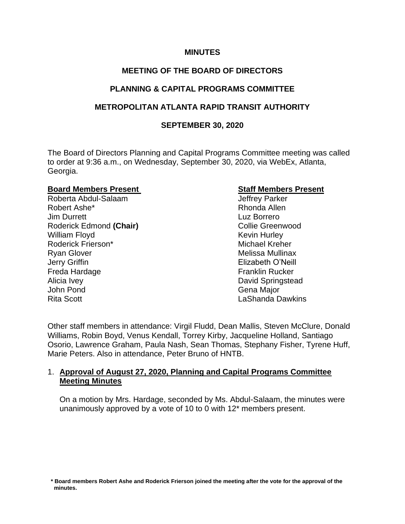#### **MINUTES**

# **MEETING OF THE BOARD OF DIRECTORS**

# **PLANNING & CAPITAL PROGRAMS COMMITTEE**

# **METROPOLITAN ATLANTA RAPID TRANSIT AUTHORITY**

## **SEPTEMBER 30, 2020**

The Board of Directors Planning and Capital Programs Committee meeting was called to order at 9:36 a.m., on Wednesday, September 30, 2020, via WebEx, Atlanta, Georgia.

#### **Board Members Present Contract Contract Staff Members Present**

Roberta Abdul-Salaam Jeffrey Parker Robert Ashe\* **Rhonda Allen** Jim Durrett Luz Borrero Roderick Edmond (Chair) **Collie Greenwood** Collie Greenwood William Floyd **Kevin Hurley** Roderick Frierson\* Michael Kreher Ryan Glover **Melissa Mullinax** Melissa Mullinax Jerry Griffin Elizabeth O'Neill Freda Hardage Franklin Rucker Alicia Ivey **David Springstead** John Pond Gena Major Rita Scott **Lashanda Dawkins** 

Other staff members in attendance: Virgil Fludd, Dean Mallis, Steven McClure, Donald Williams, Robin Boyd, Venus Kendall, Torrey Kirby, Jacqueline Holland, Santiago Osorio, Lawrence Graham, Paula Nash, Sean Thomas, Stephany Fisher, Tyrene Huff, Marie Peters. Also in attendance, Peter Bruno of HNTB.

# 1. **Approval of August 27, 2020, Planning and Capital Programs Committee Meeting Minutes**

On a motion by Mrs. Hardage, seconded by Ms. Abdul-Salaam, the minutes were unanimously approved by a vote of 10 to 0 with 12\* members present.

 **<sup>\*</sup> Board members Robert Ashe and Roderick Frierson joined the meeting after the vote for the approval of the minutes.**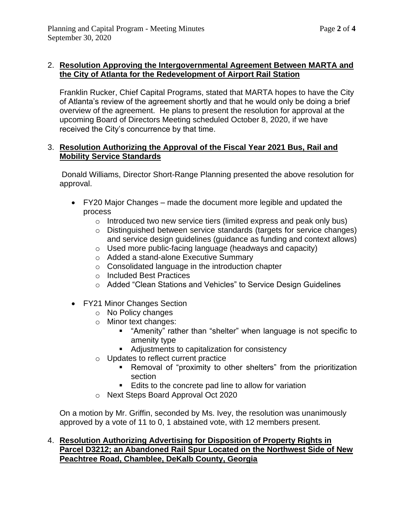# 2. **Resolution Approving the Intergovernmental Agreement Between MARTA and the City of Atlanta for the Redevelopment of Airport Rail Station**

Franklin Rucker, Chief Capital Programs, stated that MARTA hopes to have the City of Atlanta's review of the agreement shortly and that he would only be doing a brief overview of the agreement. He plans to present the resolution for approval at the upcoming Board of Directors Meeting scheduled October 8, 2020, if we have received the City's concurrence by that time.

#### 3. **Resolution Authorizing the Approval of the Fiscal Year 2021 Bus, Rail and Mobility Service Standards**

Donald Williams, Director Short-Range Planning presented the above resolution for approval.

- FY20 Major Changes made the document more legible and updated the process
	- $\circ$  Introduced two new service tiers (limited express and peak only bus)
	- o Distinguished between service standards (targets for service changes) and service design guidelines (guidance as funding and context allows)
	- o Used more public-facing language (headways and capacity)
	- o Added a stand-alone Executive Summary
	- o Consolidated language in the introduction chapter
	- o Included Best Practices
	- o Added "Clean Stations and Vehicles" to Service Design Guidelines
- FY21 Minor Changes Section
	- o No Policy changes
	- o Minor text changes:
		- "Amenity" rather than "shelter" when language is not specific to amenity type
		- Adjustments to capitalization for consistency
	- o Updates to reflect current practice
		- Removal of "proximity to other shelters" from the prioritization section
		- Edits to the concrete pad line to allow for variation
	- o Next Steps Board Approval Oct 2020

On a motion by Mr. Griffin, seconded by Ms. Ivey, the resolution was unanimously approved by a vote of 11 to 0, 1 abstained vote, with 12 members present.

### 4. **Resolution Authorizing Advertising for Disposition of Property Rights in Parcel D3212; an Abandoned Rail Spur Located on the Northwest Side of New Peachtree Road, Chamblee, DeKalb County, Georgia**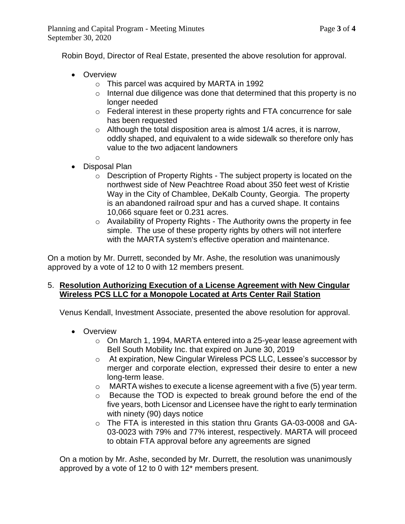Robin Boyd, Director of Real Estate, presented the above resolution for approval.

- Overview
	- o This parcel was acquired by MARTA in 1992
	- o Internal due diligence was done that determined that this property is no longer needed
	- o Federal interest in these property rights and FTA concurrence for sale has been requested
	- $\circ$  Although the total disposition area is almost 1/4 acres, it is narrow, oddly shaped, and equivalent to a wide sidewalk so therefore only has value to the two adjacent landowners

o

- Disposal Plan
	- o Description of Property Rights The subject property is located on the northwest side of New Peachtree Road about 350 feet west of Kristie Way in the City of Chamblee, DeKalb County, Georgia. The property is an abandoned railroad spur and has a curved shape. It contains 10,066 square feet or 0.231 acres.
	- o Availability of Property Rights The Authority owns the property in fee simple. The use of these property rights by others will not interfere with the MARTA system's effective operation and maintenance.

On a motion by Mr. Durrett, seconded by Mr. Ashe, the resolution was unanimously approved by a vote of 12 to 0 with 12 members present.

### 5. **Resolution Authorizing Execution of a License Agreement with New Cingular Wireless PCS LLC for a Monopole Located at Arts Center Rail Station**

Venus Kendall, Investment Associate, presented the above resolution for approval.

- Overview
	- $\circ$  On March 1, 1994, MARTA entered into a 25-year lease agreement with Bell South Mobility Inc. that expired on June 30, 2019
	- o At expiration, New Cingular Wireless PCS LLC, Lessee's successor by merger and corporate election, expressed their desire to enter a new long-term lease.
	- $\circ$  MARTA wishes to execute a license agreement with a five (5) year term.
	- o Because the TOD is expected to break ground before the end of the five years, both Licensor and Licensee have the right to early termination with ninety (90) days notice
	- o The FTA is interested in this station thru Grants GA-03-0008 and GA-03-0023 with 79% and 77% interest, respectively. MARTA will proceed to obtain FTA approval before any agreements are signed

On a motion by Mr. Ashe, seconded by Mr. Durrett, the resolution was unanimously approved by a vote of 12 to 0 with 12\* members present.